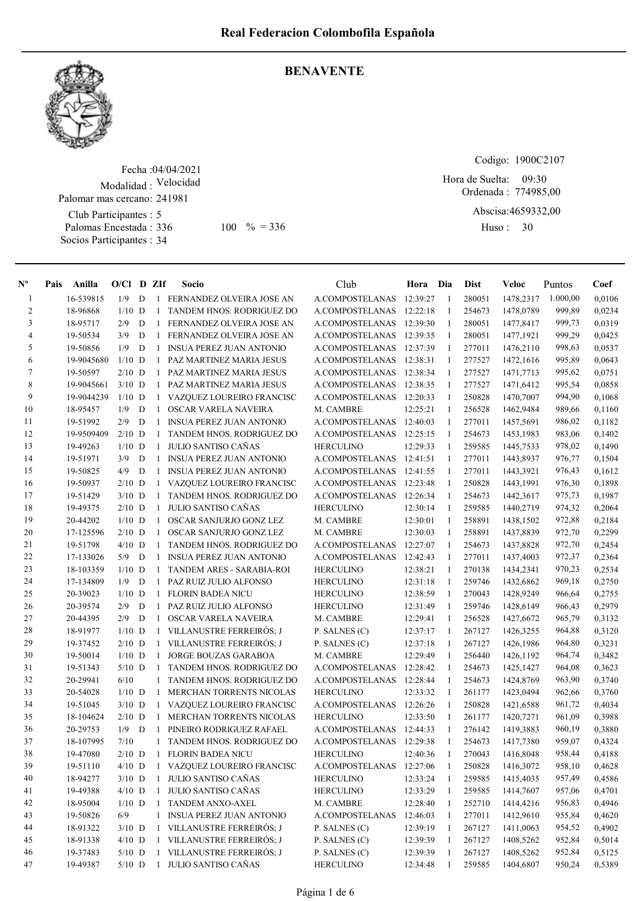

#### BENAVENTE

Fecha : 04/04/2021 Modalidad : Velocidad Club Participantes : 5 Palomas Encestada : 336 Palomar mas cercano: 241981

Socios Participantes : 34

 $100 \, \degree\% = 336$  Huso: 30

Codigo: 1900C2107

Ordenada : 774985,00 Hora de Suelta: 09:30

Abscisa: 4659332,00

Huso: 30

| $N^{\circ}$    | Pais | Anilla     | $O/Cl$ D ZIf |   |              | Socio                           | Club                              | Hora Dia |              | <b>Dist</b> | Veloc     | Puntos   | Coef             |
|----------------|------|------------|--------------|---|--------------|---------------------------------|-----------------------------------|----------|--------------|-------------|-----------|----------|------------------|
| 1              |      | 16-539815  | 1/9          | D |              | 1 FERNANDEZ OLVEIRA JOSE AN     | A.COMPOSTELANAS                   | 12:39:27 | -1           | 280051      | 1478,2317 | 1.000,00 | 0,0106           |
| $\overline{c}$ |      | 18-96868   | $1/10$ D     |   | 1            | TANDEM HNOS. RODRIGUEZ DO       | A.COMPOSTELANAS                   | 12:22:18 | -1           | 254673      | 1478,0789 | 999,89   | 0,0234           |
| 3              |      | 18-95717   | 2/9          | D | $\mathbf{1}$ | FERNANDEZ OLVEIRA JOSE AN       | A.COMPOSTELANAS                   | 12:39:30 | 1            | 280051      | 1477,8417 | 999,73   | 0,0319           |
| $\overline{4}$ |      | 19-50534   | 3/9          | D | 1            | FERNANDEZ OLVEIRA JOSE AN       | A.COMPOSTELANAS                   | 12:39:35 | 1            | 280051      | 1477,1921 | 999,29   | 0,0425           |
| 5              |      | 19-50856   | 1/9          | D | 1            | <b>INSUA PEREZ JUAN ANTONIO</b> | A.COMPOSTELANAS                   | 12:37:39 | $\mathbf{1}$ | 277011      | 1476,2110 | 998,63   | 0,0537           |
| 6              |      | 19-9045680 | $1/10$ D     |   | 1            | PAZ MARTINEZ MARIA JESUS        | A.COMPOSTELANAS                   | 12:38:31 | $\mathbf{1}$ | 277527      | 1472,1616 | 995,89   | 0,0643           |
| $\tau$         |      | 19-50597   | $2/10$ D     |   | 1            | PAZ MARTINEZ MARIA JESUS        | A.COMPOSTELANAS 12:38:34          |          | -1           | 277527      | 1471,7713 | 995,62   | 0,0751           |
| 8              |      | 19-9045661 | $3/10$ D     |   | 1            | PAZ MARTINEZ MARIA JESUS        | A.COMPOSTELANAS                   | 12:38:35 | -1           | 277527      | 1471,6412 | 995,54   | 0,0858           |
| 9              |      | 19-9044239 | $1/10$ D     |   | $\mathbf{1}$ | VAZQUEZ LOUREIRO FRANCISC       | <b>A.COMPOSTELANAS</b>            | 12:20:33 | 1            | 250828      | 1470,7007 | 994,90   | 0,1068           |
| 10             |      | 18-95457   | 1/9          | D | $\mathbf{1}$ | OSCAR VARELA NAVEIRA            | M. CAMBRE                         | 12:25:21 | -1           | 256528      | 1462,9484 | 989,66   | 0,1160           |
| 11             |      | 19-51992   | 2/9          | D | -1           | INSUA PEREZ JUAN ANTONIO        | A.COMPOSTELANAS                   | 12:40:03 | 1            | 277011      | 1457,5691 | 986,02   | 0,1182           |
| 12             |      | 19-9509409 | $2/10$ D     |   | -1           | TANDEM HNOS. RODRIGUEZ DO       | A.COMPOSTELANAS                   | 12:25:15 | 1            | 254673      | 1453,1983 | 983,06   | 0,1402           |
| 13             |      | 19-49263   | $1/10$ D     |   | -1           | <b>JULIO SANTISO CAÑAS</b>      | <b>HERCULINO</b>                  | 12:29:33 | 1            | 259585      | 1445,7533 | 978,02   | 0,1490           |
| 14             |      | 19-51971   | 3/9          | D |              | 1 INSUA PEREZ JUAN ANTONIO      | A.COMPOSTELANAS 12:41:51          |          | -1           | 277011      | 1443,8937 | 976,77   | 0,1504           |
| 15             |      | 19-50825   | 4/9          | D | 1            | <b>INSUA PEREZ JUAN ANTONIO</b> | A.COMPOSTELANAS                   | 12:41:55 | $\mathbf{1}$ | 277011      | 1443,3921 | 976,43   | 0,1612           |
| 16             |      | 19-50937   | $2/10$ D     |   | $\mathbf{1}$ | VAZQUEZ LOUREIRO FRANCISC       | A.COMPOSTELANAS                   | 12:23:48 | 1            | 250828      | 1443,1991 | 976,30   | 0,1898           |
| 17             |      | 19-51429   | $3/10$ D     |   | 1            | TANDEM HNOS. RODRIGUEZ DO       | A.COMPOSTELANAS                   | 12:26:34 | $\mathbf{1}$ | 254673      | 1442,3617 | 975,73   | 0,1987           |
| 18             |      | 19-49375   | $2/10$ D     |   | $\mathbf{1}$ | <b>JULIO SANTISO CAÑAS</b>      | <b>HERCULINO</b>                  | 12:30:14 | -1           | 259585      | 1440,2719 | 974,32   | 0,2064           |
| 19             |      | 20-44202   | $1/10$ D     |   | 1            | OSCAR SANJURJO GONZ LEZ         | M. CAMBRE                         | 12:30:01 | -1           | 258891      | 1438,1502 | 972,88   | 0,2184           |
| 20             |      | 17-125596  | $2/10$ D     |   | $\mathbf{1}$ | OSCAR SANJURJO GONZ LEZ         | M. CAMBRE                         | 12:30:03 | -1           | 258891      | 1437,8839 | 972,70   | 0,2299           |
| 21             |      | 19-51798   | $4/10$ D     |   | $\mathbf{1}$ | TANDEM HNOS. RODRIGUEZ DO       | A.COMPOSTELANAS                   | 12:27:07 | 1            | 254673      | 1437,8828 | 972,70   | 0,2454           |
| 22             |      | 17-133026  | 5/9          | D | 1            | <b>INSUA PEREZ JUAN ANTONIO</b> | A.COMPOSTELANAS                   | 12:42:43 | -1           | 277011      | 1437,4003 | 972,37   | 0,2364           |
| 23             |      | 18-103359  | $1/10$ D     |   | -1           | TANDEM ARES - SARABIA-ROI       | <b>HERCULINO</b>                  | 12:38:21 | -1           | 270138      | 1434,2341 | 970,23   | 0,2534           |
| 24             |      | 17-134809  | 1/9          | D | $\mathbf{1}$ | PAZ RUIZ JULIO ALFONSO          | <b>HERCULINO</b>                  | 12:31:18 | 1            | 259746      | 1432,6862 | 969,18   | 0,2750           |
| 25             |      | 20-39023   | $1/10$ D     |   | 1            | <b>FLORIN BADEA NICU</b>        | <b>HERCULINO</b>                  | 12:38:59 | 1            | 270043      | 1428,9249 | 966,64   | 0,2755           |
| 26             |      | 20-39574   | 2/9          | D | 1            | PAZ RUIZ JULIO ALFONSO          | <b>HERCULINO</b>                  | 12:31:49 | 1            | 259746      | 1428,6149 | 966,43   | 0,2979           |
| 27             |      | 20-44395   | 2/9          | D | $\mathbf{1}$ | OSCAR VARELA NAVEIRA            | M. CAMBRE                         | 12:29:41 | 1            | 256528      | 1427,6672 | 965,79   | 0,3132           |
| 28             |      | 18-91977   | $1/10$ D     |   |              | 1 VILLANUSTRE FERREIRÓS; J      | P. SALNES (C)                     | 12:37:17 | 1            | 267127      | 1426,3255 | 964,88   | 0,3120           |
| 29             |      | 19-37452   | $2/10$ D     |   | $\mathbf{1}$ | VILLANUSTRE FERREIRÓS; J        | P. SALNES (C)                     | 12:37:18 | -1           | 267127      | 1426,1986 | 964,80   | 0,3231           |
| 30             |      | 19-50014   | $1/10$ D     |   | $\mathbf{1}$ | JORGE BOUZAS GARABOA            | M. CAMBRE                         | 12:29:49 | 1            | 256440      | 1426,1192 | 964,74   | 0,3482           |
| 31             |      | 19-51343   | $5/10$ D     |   | -1           | TANDEM HNOS. RODRIGUEZ DO       | A.COMPOSTELANAS                   | 12:28:42 | -1           | 254673      | 1425,1427 | 964,08   | 0,3623           |
| 32             |      | 20-29941   | 6/10         |   | 1            | TANDEM HNOS. RODRIGUEZ DO       | A.COMPOSTELANAS                   | 12:28:44 | -1           | 254673      | 1424,8769 | 963,90   | 0,3740           |
| 33             |      | 20-54028   | $1/10$ D     |   | 1            | MERCHAN TORRENTS NICOLAS        | <b>HERCULINO</b>                  | 12:33:32 | -1           | 261177      | 1423,0494 | 962,66   | 0,3760           |
| 34             |      | 19-51045   | $3/10$ D     |   | 1            | VAZQUEZ LOUREIRO FRANCISC       | A.COMPOSTELANAS                   | 12:26:26 | 1            | 250828      | 1421,6588 | 961,72   | 0,4034           |
| 35             |      | 18-104624  | $2/10$ D     |   | -1           | MERCHAN TORRENTS NICOLAS        | <b>HERCULINO</b>                  | 12:33:50 | 1            | 261177      | 1420,7271 | 961,09   | 0,3988           |
| 36             |      | 20-29753   | 1/9          | D | -1           | PINEIRO RODRIGUEZ RAFAEL        | A.COMPOSTELANAS                   | 12:44:33 | -1           | 276142      | 1419,3883 | 960,19   | 0,3880           |
| 37             |      | 18-107995  | 7/10         |   |              | 1 TANDEM HNOS. RODRIGUEZ DO     | A.COMPOSTELANAS 12:29:38          |          | 1            | 254673      | 1417,7380 | 959,07   | 0,4324           |
| 38             |      | 19-47080   | $2/10$ D     |   |              | 1 FLORIN BADEA NICU             | <b>HERCULINO</b>                  | 12:40:36 | $\mathbf{1}$ | 270043      | 1416,8048 | 958,44   | 0,4188           |
| 39             |      | 19-51110   | $4/10$ D     |   |              | 1 VAZQUEZ LOUREIRO FRANCISC     | A.COMPOSTELANAS                   | 12:27:06 | 1            | 250828      | 1416,3072 | 958,10   | 0,4628           |
| 40             |      | 18-94277   | $3/10$ D     |   |              | 1 JULIO SANTISO CAÑAS           | <b>HERCULINO</b>                  | 12:33:24 | 1            | 259585      | 1415,4035 | 957,49   | 0,4586           |
| 41             |      | 19-49388   | $4/10$ D     |   |              | 1 JULIO SANTISO CAÑAS           | <b>HERCULINO</b>                  | 12:33:29 | 1            | 259585      | 1414,7607 | 957,06   | 0,4701           |
| 42             |      | 18-95004   | $1/10$ D     |   | 1            | TANDEM ANXO-AXEL                | M. CAMBRE                         | 12:28:40 | 1            | 252710      | 1414,4216 | 956,83   | 0,4946           |
| 43             |      | 19-50826   | 6/9          |   |              | 1 INSUA PEREZ JUAN ANTONIO      | A.COMPOSTELANAS                   | 12:46:03 | 1            | 277011      | 1412,9610 | 955,84   | 0,4620           |
| 44             |      | 18-91322   | $3/10$ D     |   |              | 1 VILLANUSTRE FERREIRÓS; J      | P. SALNES (C)                     | 12:39:19 | -1           | 267127      | 1411,0063 | 954,52   | 0,4902           |
| 45             |      | 18-91338   | $4/10$ D     |   |              | 1 VILLANUSTRE FERREIRÓS; J      |                                   | 12:39:39 |              | 267127      | 1408,5262 | 952,84   |                  |
| 46             |      | 19-37483   | $5/10$ D     |   |              | 1 VILLANUSTRE FERREIRÓS; J      | P. SALNES (C)                     | 12:39:39 | -1           | 267127      | 1408,5262 | 952,84   | 0,5014           |
| 47             |      | 19-49387   | $5/10$ D     |   |              | 1 JULIO SANTISO CAÑAS           | P. SALNES (C)<br><b>HERCULINO</b> | 12:34:48 | 1<br>1       | 259585      | 1404,6807 | 950,24   | 0,5125<br>0,5389 |
|                |      |            |              |   |              |                                 |                                   |          |              |             |           |          |                  |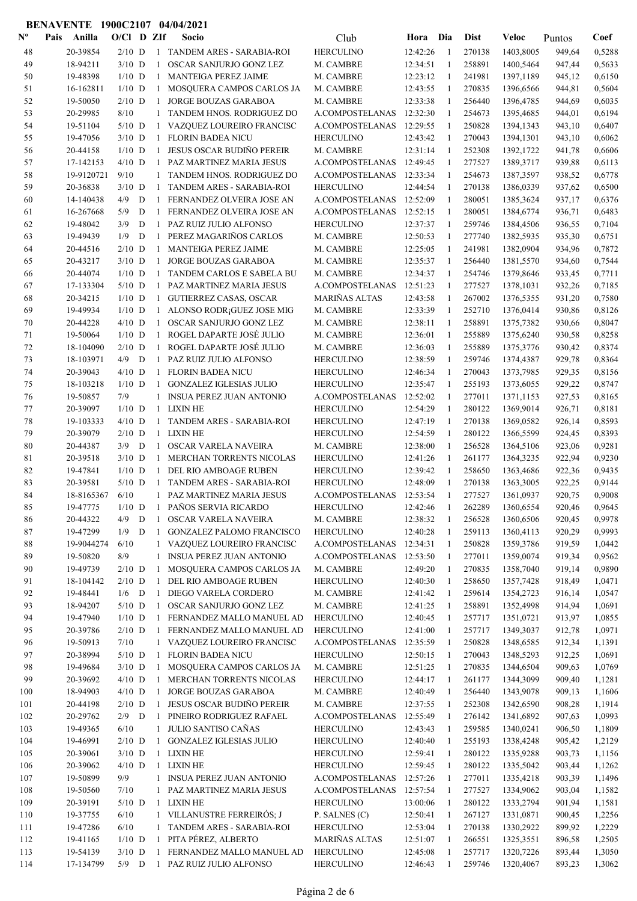| $\mathbf{N}^{\mathbf{o}}$ | Pais | Anilla     | $O/Cl$ D ZIf |   |                | Socio                                                      | Club                 | Hora     | Dia          | <b>Dist</b> | Veloc     | Puntos | Coef   |
|---------------------------|------|------------|--------------|---|----------------|------------------------------------------------------------|----------------------|----------|--------------|-------------|-----------|--------|--------|
| 48                        |      | 20-39854   | $2/10$ D     |   |                | 1 TANDEM ARES - SARABIA-ROI                                | <b>HERCULINO</b>     | 12:42:26 | -1           | 270138      | 1403,8005 | 949,64 | 0,5288 |
| 49                        |      | 18-94211   | $3/10$ D     |   | $\mathbf{1}$   | OSCAR SANJURJO GONZ LEZ                                    | M. CAMBRE            | 12:34:51 | 1            | 258891      | 1400,5464 | 947,44 | 0,5633 |
| 50                        |      | 19-48398   | $1/10$ D     |   | $\mathbf{1}$   | MANTEIGA PEREZ JAIME                                       | M. CAMBRE            | 12:23:12 | -1           | 241981      | 1397,1189 | 945,12 | 0,6150 |
| 51                        |      | 16-162811  | $1/10$ D     |   | $\mathbf{1}$   | MOSQUERA CAMPOS CARLOS JA                                  | M. CAMBRE            | 12:43:55 | -1           | 270835      | 1396,6566 | 944,81 | 0,5604 |
| 52                        |      | 19-50050   | $2/10$ D     |   | $\mathbf{1}$   | JORGE BOUZAS GARABOA                                       | M. CAMBRE            | 12:33:38 | -1           | 256440      | 1396,4785 | 944,69 | 0,6035 |
| 53                        |      | 20-29985   | 8/10         |   | $\mathbf{1}$   | TANDEM HNOS. RODRIGUEZ DO                                  | A.COMPOSTELANAS      | 12:32:30 | 1            | 254673      | 1395,4685 | 944,01 | 0,6194 |
| 54                        |      | 19-51104   | $5/10$ D     |   | 1              | VAZQUEZ LOUREIRO FRANCISC                                  | A.COMPOSTELANAS      | 12:29:55 | 1            | 250828      | 1394,1343 | 943,10 | 0,6407 |
| 55                        |      | 19-47056   | $3/10$ D     |   | 1              | <b>FLORIN BADEA NICU</b>                                   | <b>HERCULINO</b>     | 12:43:42 | 1            | 270043      | 1394,1301 | 943,10 | 0,6062 |
| 56                        |      | 20-44158   | $1/10$ D     |   | $\mathbf{1}$   | <b>JESUS OSCAR BUDIÑO PEREIR</b>                           | M. CAMBRE            | 12:31:14 | 1            | 252308      | 1392,1722 | 941,78 | 0,6606 |
| 57                        |      | 17-142153  | $4/10$ D     |   | 1              | PAZ MARTINEZ MARIA JESUS                                   | A.COMPOSTELANAS      | 12:49:45 | 1            | 277527      | 1389,3717 | 939,88 | 0,6113 |
| 58                        |      | 19-9120721 | 9/10         |   |                | TANDEM HNOS. RODRIGUEZ DO                                  | A.COMPOSTELANAS      | 12:33:34 | 1            | 254673      | 1387,3597 | 938,52 | 0,6778 |
| 59                        |      | 20-36838   | $3/10$ D     |   | 1              | TANDEM ARES - SARABIA-ROI                                  | <b>HERCULINO</b>     | 12:44:54 | 1            | 270138      | 1386,0339 | 937,62 | 0,6500 |
| 60                        |      | 14-140438  | 4/9          | D | $\mathbf{1}$   | FERNANDEZ OLVEIRA JOSE AN                                  | A.COMPOSTELANAS      | 12:52:09 | 1            | 280051      | 1385,3624 | 937,17 | 0,6376 |
| 61                        |      | 16-267668  | 5/9          | D | 1              | FERNANDEZ OLVEIRA JOSE AN                                  | A.COMPOSTELANAS      | 12:52:15 | $\mathbf{1}$ | 280051      | 1384,6774 | 936,71 | 0,6483 |
| 62                        |      | 19-48042   | 3/9          | D | $\mathbf{1}$   | PAZ RUIZ JULIO ALFONSO                                     | <b>HERCULINO</b>     | 12:37:37 | 1            | 259746      | 1384,4506 | 936,55 | 0,7104 |
|                           |      | 19-49439   | 1/9          | D | $\mathbf{1}$   | PEREZ MAGARIÑOS CARLOS                                     |                      | 12:50:53 | -1           | 277740      | 1382,5935 |        | 0,6751 |
| 63                        |      |            |              |   |                |                                                            | M. CAMBRE            |          |              |             |           | 935,30 |        |
| 64                        |      | 20-44516   | $2/10$ D     |   | $\mathbf{1}$   | <b>MANTEIGA PEREZ JAIME</b><br><b>JORGE BOUZAS GARABOA</b> | M. CAMBRE            | 12:25:05 | -1           | 241981      | 1382,0904 | 934,96 | 0,7872 |
| 65                        |      | 20-43217   | $3/10$ D     |   | $\mathbf{1}$   |                                                            | M. CAMBRE            | 12:35:37 | -1           | 256440      | 1381,5570 | 934,60 | 0,7544 |
| 66                        |      | 20-44074   | $1/10$ D     |   | 1              | TANDEM CARLOS E SABELA BU                                  | M. CAMBRE            | 12:34:37 | -1           | 254746      | 1379,8646 | 933,45 | 0,7711 |
| 67                        |      | 17-133304  | $5/10$ D     |   | 1              | PAZ MARTINEZ MARIA JESUS                                   | A.COMPOSTELANAS      | 12:51:23 | 1            | 277527      | 1378,1031 | 932,26 | 0,7185 |
| 68                        |      | 20-34215   | $1/10$ D     |   | $\mathbf{1}$   | <b>GUTIERREZ CASAS, OSCAR</b>                              | <b>MARIÑAS ALTAS</b> | 12:43:58 | 1            | 267002      | 1376,5355 | 931,20 | 0,7580 |
| 69                        |      | 19-49934   | $1/10$ D     |   |                | 1 ALONSO RODR; GUEZ JOSE MIG                               | M. CAMBRE            | 12:33:39 | 1            | 252710      | 1376,0414 | 930,86 | 0,8126 |
| 70                        |      | 20-44228   | $4/10$ D     |   |                | 1 OSCAR SANJURJO GONZ LEZ                                  | M. CAMBRE            | 12:38:11 | 1            | 258891      | 1375,7382 | 930,66 | 0,8047 |
| 71                        |      | 19-50064   | $1/10$ D     |   | $\mathbf{1}$   | ROGEL DAPARTE JOSÉ JULIO                                   | M. CAMBRE            | 12:36:01 | 1            | 255889      | 1375,6240 | 930,58 | 0,8258 |
| 72                        |      | 18-104090  | $2/10$ D     |   | $\mathbf{1}$   | ROGEL DAPARTE JOSÉ JULIO                                   | M. CAMBRE            | 12:36:03 | 1            | 255889      | 1375,3776 | 930,42 | 0,8374 |
| 73                        |      | 18-103971  | 4/9          | D | $\mathbf{1}$   | PAZ RUIZ JULIO ALFONSO                                     | <b>HERCULINO</b>     | 12:38:59 | -1           | 259746      | 1374,4387 | 929,78 | 0,8364 |
| 74                        |      | 20-39043   | $4/10$ D     |   | $\mathbf{1}$   | <b>FLORIN BADEA NICU</b>                                   | <b>HERCULINO</b>     | 12:46:34 | -1           | 270043      | 1373,7985 | 929,35 | 0,8156 |
| 75                        |      | 18-103218  | $1/10$ D     |   |                | 1 GONZALEZ IGLESIAS JULIO                                  | <b>HERCULINO</b>     | 12:35:47 | -1           | 255193      | 1373,6055 | 929,22 | 0,8747 |
| 76                        |      | 19-50857   | 7/9          |   | $\mathbf{1}$   | <b>INSUA PEREZ JUAN ANTONIO</b>                            | A.COMPOSTELANAS      | 12:52:02 | -1           | 277011      | 1371,1153 | 927,53 | 0,8165 |
| 77                        |      | 20-39097   | $1/10$ D     |   |                | 1 LIXIN HE                                                 | <b>HERCULINO</b>     | 12:54:29 | 1            | 280122      | 1369,9014 | 926,71 | 0,8181 |
| 78                        |      | 19-103333  | $4/10$ D     |   | $\mathbf{1}$   | TANDEM ARES - SARABIA-ROI                                  | <b>HERCULINO</b>     | 12:47:19 | $\mathbf{1}$ | 270138      | 1369,0582 | 926,14 | 0,8593 |
| 79                        |      | 20-39079   | $2/10$ D     |   | $\mathbf{1}$   | <b>LIXIN HE</b>                                            | <b>HERCULINO</b>     | 12:54:59 | 1            | 280122      | 1366,5599 | 924,45 | 0,8393 |
| 80                        |      | 20-44387   | 3/9          | D | $\mathbf{1}$   | OSCAR VARELA NAVEIRA                                       | M. CAMBRE            | 12:38:00 | 1            | 256528      | 1364,5106 | 923,06 | 0,9281 |
| 81                        |      | 20-39518   | $3/10$ D     |   | $\mathbf{1}$   | MERCHAN TORRENTS NICOLAS                                   | <b>HERCULINO</b>     | 12:41:26 | 1            | 261177      | 1364,3235 | 922,94 | 0,9230 |
| 82                        |      | 19-47841   | $1/10$ D     |   | $\mathbf{1}$   | DEL RIO AMBOAGE RUBEN                                      | <b>HERCULINO</b>     | 12:39:42 | 1            | 258650      | 1363,4686 | 922,36 | 0,9435 |
| 83                        |      | 20-39581   | $5/10$ D     |   | $\mathbf{1}$   | TANDEM ARES - SARABIA-ROI                                  | <b>HERCULINO</b>     | 12:48:09 | 1            | 270138      | 1363,3005 | 922,25 | 0,9144 |
| 84                        |      | 18-8165367 | 6/10         |   | $\mathbf{1}$   | PAZ MARTINEZ MARIA JESUS                                   | A.COMPOSTELANAS      | 12:53:54 | 1            | 277527      | 1361,0937 | 920,75 | 0,9008 |
| 85                        |      | 19-47775   | $1/10$ D     |   | $\overline{1}$ | PAÑOS SERVIA RICARDO                                       | <b>HERCULINO</b>     | 12:42:46 | 1            | 262289      | 1360,6554 | 920,46 | 0,9645 |
| 86                        |      | 20-44322   | 4/9          | D | $\mathbf{1}$   | OSCAR VARELA NAVEIRA                                       | M. CAMBRE            | 12:38:32 | 1            | 256528      | 1360,6506 | 920,45 | 0,9978 |
| 87                        |      | 19-47299   | $1/9$ D      |   | $\mathbf{1}$   | <b>GONZALEZ PALOMO FRANCISCO</b>                           | <b>HERCULINO</b>     | 12:40:28 | 1            | 259113      | 1360,4113 | 920,29 | 0,9993 |
| 88                        |      | 19-9044274 | 6/10         |   |                | 1 VAZQUEZ LOUREIRO FRANCISC                                | A.COMPOSTELANAS      | 12:34:31 | -1           | 250828      | 1359,3786 | 919,59 | 1,0442 |
| 89                        |      | 19-50820   | 8/9          |   | $\mathbf{1}$   | <b>INSUA PEREZ JUAN ANTONIO</b>                            | A.COMPOSTELANAS      | 12:53:50 | -1           | 277011      | 1359,0074 | 919,34 | 0,9562 |
| 90                        |      | 19-49739   | $2/10$ D     |   | $\mathbf{1}$   | MOSQUERA CAMPOS CARLOS JA                                  | M. CAMBRE            | 12:49:20 | -1           | 270835      | 1358,7040 | 919,14 | 0,9890 |
| 91                        |      | 18-104142  | $2/10$ D     |   | 1              | DEL RIO AMBOAGE RUBEN                                      | <b>HERCULINO</b>     | 12:40:30 | 1            | 258650      | 1357,7428 | 918,49 | 1,0471 |
| 92                        |      | 19-48441   | $1/6$ D      |   | 1              | DIEGO VARELA CORDERO                                       | M. CAMBRE            | 12:41:42 | 1            | 259614      | 1354,2723 | 916,14 | 1,0547 |
| 93                        |      | 18-94207   | $5/10$ D     |   |                | 1 OSCAR SANJURJO GONZ LEZ                                  | M. CAMBRE            | 12:41:25 | 1            | 258891      | 1352,4998 | 914,94 | 1,0691 |
| 94                        |      | 19-47940   | $1/10$ D     |   |                | 1 FERNANDEZ MALLO MANUEL AD                                | <b>HERCULINO</b>     | 12:40:45 | 1            | 257717      | 1351,0721 | 913,97 | 1,0855 |
| 95                        |      | 20-39786   | $2/10$ D     |   |                | 1 FERNANDEZ MALLO MANUEL AD                                | <b>HERCULINO</b>     | 12:41:00 | 1            | 257717      | 1349,3037 | 912,78 | 1,0971 |
| 96                        |      | 19-50913   | 7/10         |   |                | 1 VAZQUEZ LOUREIRO FRANCISC                                | A.COMPOSTELANAS      | 12:35:59 | 1            | 250828      | 1348,6585 | 912,34 | 1,1391 |
| 97                        |      | 20-38994   | $5/10$ D     |   | 1              | <b>FLORIN BADEA NICU</b>                                   | <b>HERCULINO</b>     | 12:50:15 | 1            | 270043      | 1348,5293 | 912,25 | 1,0691 |
| 98                        |      | 19-49684   | $3/10$ D     |   | $\mathbf{1}$   | MOSQUERA CAMPOS CARLOS JA                                  | M. CAMBRE            | 12:51:25 | 1            | 270835      | 1344,6504 | 909,63 | 1,0769 |
| 99                        |      | 20-39692   | $4/10$ D     |   | $\mathbf{1}$   | MERCHAN TORRENTS NICOLAS                                   | <b>HERCULINO</b>     | 12:44:17 | -1           | 261177      | 1344,3099 | 909,40 | 1,1281 |
| 100                       |      | 18-94903   | $4/10$ D     |   | $\mathbf{1}$   | JORGE BOUZAS GARABOA                                       | M. CAMBRE            | 12:40:49 | -1           | 256440      | 1343,9078 | 909,13 | 1,1606 |
| 101                       |      | 20-44198   | $2/10$ D     |   |                | 1 JESUS OSCAR BUDIÑO PEREIR                                | M. CAMBRE            | 12:37:55 | -1           | 252308      | 1342,6590 | 908,28 | 1,1914 |
| 102                       |      | 20-29762   | $2/9$ D      |   | 1              | PINEIRO RODRIGUEZ RAFAEL                                   | A.COMPOSTELANAS      | 12:55:49 | -1           | 276142      | 1341,6892 | 907,63 | 1,0993 |
| 103                       |      | 19-49365   | 6/10         |   | $\mathbf{1}$   | JULIO SANTISO CAÑAS                                        | <b>HERCULINO</b>     | 12:43:43 | 1            | 259585      | 1340,0241 | 906,50 | 1,1809 |
| 104                       |      | 19-46991   | $2/10$ D     |   | $\mathbf{1}$   | <b>GONZALEZ IGLESIAS JULIO</b>                             | <b>HERCULINO</b>     | 12:40:40 | 1            | 255193      | 1338,4248 | 905,42 | 1,2129 |
| 105                       |      | 20-39061   | $3/10$ D     |   |                | 1 LIXIN HE                                                 | <b>HERCULINO</b>     | 12:59:41 | 1            | 280122      | 1335,9288 | 903,73 | 1,1156 |
| 106                       |      | 20-39062   | $4/10$ D     |   |                | 1 LIXIN HE                                                 | <b>HERCULINO</b>     | 12:59:45 | -1           | 280122      | 1335,5042 | 903,44 | 1,1262 |
| 107                       |      | 19-50899   | 9/9          |   |                | 1 INSUA PEREZ JUAN ANTONIO                                 | A.COMPOSTELANAS      | 12:57:26 | -1           | 277011      | 1335,4218 | 903,39 | 1,1496 |
| 108                       |      | 19-50560   | 7/10         |   |                | 1 PAZ MARTINEZ MARIA JESUS                                 | A.COMPOSTELANAS      | 12:57:54 | 1            | 277527      | 1334,9062 | 903,04 | 1,1582 |
| 109                       |      | 20-39191   | $5/10$ D     |   |                | 1 LIXIN HE                                                 | <b>HERCULINO</b>     | 13:00:06 | 1            | 280122      | 1333,2794 | 901,94 | 1,1581 |
| 110                       |      | 19-37755   | 6/10         |   |                | 1 VILLANUSTRE FERREIRÓS; J                                 | P. SALNES (C)        | 12:50:41 | 1            | 267127      | 1331,0871 | 900,45 | 1,2256 |
| 111                       |      | 19-47286   | $6/10$       |   |                | 1 TANDEM ARES - SARABIA-ROI                                | <b>HERCULINO</b>     | 12:53:04 | 1            | 270138      | 1330,2922 | 899,92 | 1,2229 |
| 112                       |      | 19-41165   | $1/10$ D     |   |                | 1 PITA PÉREZ, ALBERTO                                      | MARIÑAS ALTAS        | 12:51:07 | -1           | 266551      | 1325,3551 | 896,58 | 1,2505 |
| 113                       |      | 19-54139   | $3/10$ D     |   |                | 1 FERNANDEZ MALLO MANUEL AD                                | <b>HERCULINO</b>     | 12:45:08 | -1           | 257717      | 1320,7226 | 893,44 | 1,3050 |
| 114                       |      | 17-134799  | $5/9$ D      |   |                | 1 PAZ RUIZ JULIO ALFONSO                                   | <b>HERCULINO</b>     | 12:46:43 | 1            | 259746      | 1320,4067 | 893,23 | 1,3062 |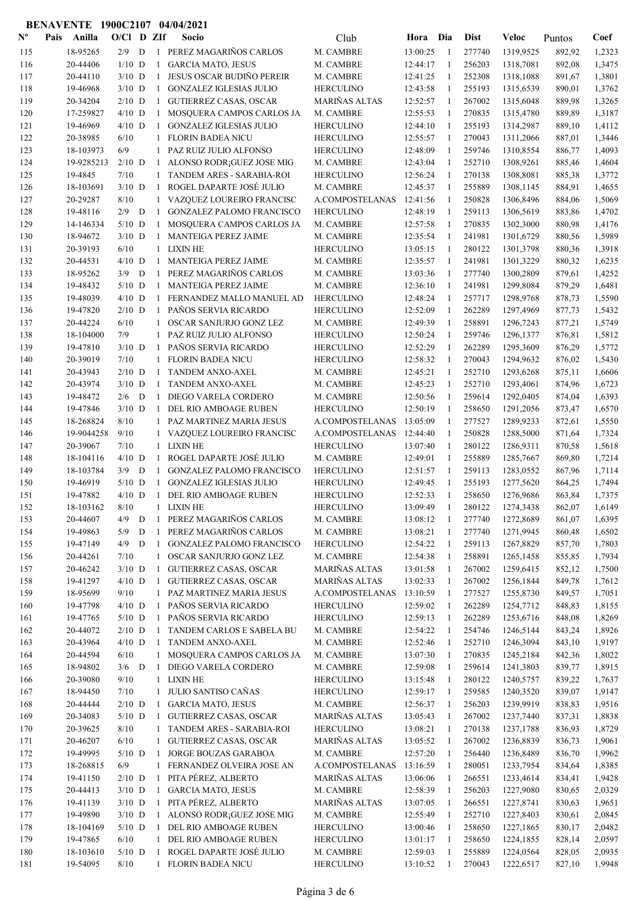| $\mathbf{N}^{\mathbf{o}}$ | Pais | Anilla     | $O/C1$ D ZIf |             |              | Socio                                                         | Club                 | Hora     | Dia          | <b>Dist</b> | Veloc                  | Puntos           | Coef   |
|---------------------------|------|------------|--------------|-------------|--------------|---------------------------------------------------------------|----------------------|----------|--------------|-------------|------------------------|------------------|--------|
| 115                       |      | 18-95265   | 2/9          | D           |              | 1 PEREZ MAGARIÑOS CARLOS                                      | M. CAMBRE            | 13:00:25 | -1           | 277740      | 1319,9525              | 892,92           | 1,2323 |
| 116                       |      | 20-44406   | $1/10$ D     |             | 1            | <b>GARCIA MATO, JESUS</b>                                     | M. CAMBRE            | 12:44:17 | 1            | 256203      | 1318,7081              | 892,08           | 1,3475 |
| 117                       |      | 20-44110   | $3/10$ D     |             | 1            | <b>JESUS OSCAR BUDIÑO PEREIR</b>                              | M. CAMBRE            | 12:41:25 | 1            | 252308      | 1318,1088              | 891,67           | 1,3801 |
| 118                       |      | 19-46968   | $3/10$ D     |             | 1            | <b>GONZALEZ IGLESIAS JULIO</b>                                | <b>HERCULINO</b>     | 12:43:58 | -1           | 255193      | 1315,6539              | 890,01           | 1,3762 |
| 119                       |      | 20-34204   | $2/10$ D     |             | 1            | <b>GUTIERREZ CASAS, OSCAR</b>                                 | MARIÑAS ALTAS        | 12:52:57 | -1           | 267002      | 1315,6048              | 889,98           | 1,3265 |
| 120                       |      | 17-259827  | $4/10$ D     |             | $\mathbf{1}$ | MOSQUERA CAMPOS CARLOS JA                                     | M. CAMBRE            | 12:55:53 | 1            | 270835      | 1315,4780              | 889,89           | 1,3187 |
| 121                       |      | 19-46969   | $4/10$ D     |             | 1            | <b>GONZALEZ IGLESIAS JULIO</b>                                | <b>HERCULINO</b>     | 12:44:10 | -1           | 255193      | 1314,2987              | 889,10           | 1,4112 |
| 122                       |      | 20-38985   | 6/10         |             | 1            | <b>FLORIN BADEA NICU</b>                                      | <b>HERCULINO</b>     | 12:55:57 | 1            | 270043      | 1311,2066              | 887,01           | 1,3446 |
| 123                       |      | 18-103973  | 6/9          |             | 1            | PAZ RUIZ JULIO ALFONSO                                        | <b>HERCULINO</b>     | 12:48:09 | 1            | 259746      | 1310,8554              | 886,77           | 1,4093 |
| 124                       |      | 19-9285213 | $2/10$ D     |             | 1            | ALONSO RODR; GUEZ JOSE MIG                                    | M. CAMBRE            | 12:43:04 | 1            | 252710      | 1308,9261              | 885,46           | 1,4604 |
| 125                       |      | 19-4845    | 7/10         |             | 1            | TANDEM ARES - SARABIA-ROI                                     | <b>HERCULINO</b>     | 12:56:24 | 1            | 270138      | 1308,8081              | 885,38           | 1,3772 |
| 126                       |      | 18-103691  | $3/10$ D     |             | 1            | ROGEL DAPARTE JOSÉ JULIO                                      | M. CAMBRE            | 12:45:37 | 1            | 255889      | 1308,1145              | 884,91           | 1,4655 |
| 127                       |      | 20-29287   | 8/10         |             | 1            | VAZQUEZ LOUREIRO FRANCISC                                     | A.COMPOSTELANAS      | 12:41:56 | 1            | 250828      | 1306,8496              | 884,06           | 1,5069 |
| 128                       |      | 19-48116   | 2/9          | D           | -1           |                                                               | <b>HERCULINO</b>     | 12:48:19 | $\mathbf{1}$ | 259113      |                        |                  | 1,4702 |
| 129                       |      | 14-146334  | $5/10$ D     |             | 1            | <b>GONZALEZ PALOMO FRANCISCO</b><br>MOSQUERA CAMPOS CARLOS JA | M. CAMBRE            | 12:57:58 | 1            | 270835      | 1306,5619<br>1302,3000 | 883,86<br>880,98 | 1,4176 |
|                           |      | 18-94672   |              |             |              |                                                               |                      |          | -1           | 241981      | 1301,6729              |                  | 1,5989 |
| 130                       |      |            | $3/10$ D     |             | -1           | <b>MANTEIGA PEREZ JAIME</b>                                   | M. CAMBRE            | 12:35:54 |              |             |                        | 880,56           |        |
| 131                       |      | 20-39193   | 6/10         |             | $\mathbf{1}$ | <b>LIXIN HE</b>                                               | <b>HERCULINO</b>     | 13:05:15 | -1           | 280122      | 1301,3798              | 880,36           | 1,3918 |
| 132                       |      | 20-44531   | $4/10$ D     |             | $\mathbf{1}$ | MANTEIGA PEREZ JAIME                                          | M. CAMBRE            | 12:35:57 | 1            | 241981      | 1301,3229              | 880,32           | 1,6235 |
| 133                       |      | 18-95262   | $3/9$ D      |             | 1            | PEREZ MAGARIÑOS CARLOS                                        | M. CAMBRE            | 13:03:36 | -1           | 277740      | 1300,2809              | 879,61           | 1,4252 |
| 134                       |      | 19-48432   | $5/10$ D     |             | 1            | MANTEIGA PEREZ JAIME                                          | M. CAMBRE            | 12:36:10 | 1            | 241981      | 1299,8084              | 879,29           | 1,6481 |
| 135                       |      | 19-48039   | $4/10$ D     |             | 1            | FERNANDEZ MALLO MANUEL AD                                     | <b>HERCULINO</b>     | 12:48:24 | 1            | 257717      | 1298,9768              | 878,73           | 1,5590 |
| 136                       |      | 19-47820   | $2/10$ D     |             | 1            | PAÑOS SERVIA RICARDO                                          | <b>HERCULINO</b>     | 12:52:09 | 1            | 262289      | 1297,4969              | 877,73           | 1,5432 |
| 137                       |      | 20-44224   | 6/10         |             | $\mathbf{1}$ | OSCAR SANJURJO GONZ LEZ                                       | M. CAMBRE            | 12:49:39 | 1            | 258891      | 1296,7243              | 877,21           | 1,5749 |
| 138                       |      | 18-104000  | 7/9          |             | $\mathbf{1}$ | PAZ RUIZ JULIO ALFONSO                                        | <b>HERCULINO</b>     | 12:50:24 | 1            | 259746      | 1296,1377              | 876,81           | 1,5812 |
| 139                       |      | 19-47810   | $3/10$ D     |             | 1            | PAÑOS SERVIA RICARDO                                          | <b>HERCULINO</b>     | 12:52:29 | 1            | 262289      | 1295,3609              | 876,29           | 1,5772 |
| 140                       |      | 20-39019   | 7/10         |             | 1            | <b>FLORIN BADEA NICU</b>                                      | <b>HERCULINO</b>     | 12:58:32 | -1           | 270043      | 1294,9632              | 876,02           | 1,5430 |
| 141                       |      | 20-43943   | $2/10$ D     |             | -1           | TANDEM ANXO-AXEL                                              | M. CAMBRE            | 12:45:21 | 1            | 252710      | 1293,6268              | 875,11           | 1,6606 |
| 142                       |      | 20-43974   | $3/10$ D     |             | -1           | TANDEM ANXO-AXEL                                              | M. CAMBRE            | 12:45:23 | -1           | 252710      | 1293,4061              | 874,96           | 1,6723 |
| 143                       |      | 19-48472   | 2/6          | D           | $\mathbf{1}$ | DIEGO VARELA CORDERO                                          | M. CAMBRE            | 12:50:56 | -1           | 259614      | 1292,0405              | 874,04           | 1,6393 |
| 144                       |      | 19-47846   | $3/10$ D     |             | $\mathbf{1}$ | DEL RIO AMBOAGE RUBEN                                         | <b>HERCULINO</b>     | 12:50:19 | -1           | 258650      | 1291,2056              | 873,47           | 1,6570 |
| 145                       |      | 18-268824  | 8/10         |             | 1            | PAZ MARTINEZ MARIA JESUS                                      | A.COMPOSTELANAS      | 13:05:09 | 1            | 277527      | 1289,9233              | 872,61           | 1,5550 |
| 146                       |      | 19-9044258 | 9/10         |             | 1            | VAZQUEZ LOUREIRO FRANCISC                                     | A.COMPOSTELANAS      | 12:44:40 | 1            | 250828      | 1288,5000              | 871,64           | 1,7324 |
| 147                       |      | 20-39067   | 7/10         |             | 1            | <b>LIXIN HE</b>                                               | <b>HERCULINO</b>     | 13:07:40 | 1            | 280122      | 1286,9311              | 870,58           | 1,5618 |
| 148                       |      | 18-104116  | $4/10$ D     |             | 1            | ROGEL DAPARTE JOSÉ JULIO                                      | M. CAMBRE            | 12:49:01 | 1            | 255889      | 1285,7667              | 869,80           | 1,7214 |
| 149                       |      | 18-103784  | 3/9          | D           | $\mathbf{1}$ | <b>GONZALEZ PALOMO FRANCISCO</b>                              | <b>HERCULINO</b>     | 12:51:57 | 1            | 259113      | 1283,0552              | 867,96           | 1,7114 |
| 150                       |      | 19-46919   | $5/10$ D     |             | $\mathbf{1}$ | <b>GONZALEZ IGLESIAS JULIO</b>                                | <b>HERCULINO</b>     | 12:49:45 | 1            | 255193      | 1277,5620              | 864,25           | 1,7494 |
| 151                       |      | 19-47882   | $4/10$ D     |             | $\mathbf{1}$ | DEL RIO AMBOAGE RUBEN                                         | <b>HERCULINO</b>     | 12:52:33 | 1            | 258650      | 1276,9686              | 863,84           | 1,7375 |
| 152                       |      | 18-103162  | 8/10         |             | 1            | <b>LIXIN HE</b>                                               | <b>HERCULINO</b>     | 13:09:49 | 1            | 280122      | 1274,3438              | 862,07           | 1,6149 |
| 153                       |      | 20-44607   | 4/9          | $\mathbf D$ | 1            | PEREZ MAGARIÑOS CARLOS                                        | M. CAMBRE            | 13:08:12 | 1            | 277740      | 1272,8689              | 861,07           | 1,6395 |
| 154                       |      | 19-49863   | 5/9          | D           | 1            | PEREZ MAGARIÑOS CARLOS                                        | M. CAMBRE            | 13:08:21 | 1            | 277740      | 1271,9945              | 860,48           | 1,6502 |
| 155                       |      | 19-47149   | 4/9          | D           | 1            | <b>GONZALEZ PALOMO FRANCISCO</b>                              | <b>HERCULINO</b>     | 12:54:22 | -1           | 259113      | 1267,8829              | 857,70           | 1,7803 |
| 156                       |      | 20-44261   | $7/10$       |             | $\mathbf{1}$ | OSCAR SANJURJO GONZ LEZ                                       | M. CAMBRE            | 12:54:38 | $\mathbf{1}$ | 258891      | 1265,1458              | 855,85           | 1,7934 |
| 157                       |      | 20-46242   | $3/10$ D     |             | $\mathbf{1}$ | <b>GUTIERREZ CASAS, OSCAR</b>                                 | MARIÑAS ALTAS        | 13:01:58 | $\mathbf{1}$ | 267002      | 1259,6415              | 852,12           | 1,7500 |
| 158                       |      | 19-41297   | $4/10$ D     |             | $\mathbf{1}$ | <b>GUTIERREZ CASAS, OSCAR</b>                                 | <b>MARIÑAS ALTAS</b> | 13:02:33 | 1            | 267002      | 1256,1844              | 849,78           | 1,7612 |
| 159                       |      | 18-95699   | 9/10         |             | 1            | PAZ MARTINEZ MARIA JESUS                                      | A.COMPOSTELANAS      | 13:10:59 | 1            | 277527      | 1255,8730              | 849,57           | 1,7051 |
| 160                       |      | 19-47798   | $4/10$ D     |             | 1            | PAÑOS SERVIA RICARDO                                          | <b>HERCULINO</b>     | 12:59:02 | 1            | 262289      | 1254,7712              | 848,83           | 1,8155 |
| 161                       |      | 19-47765   | $5/10$ D     |             | $\mathbf{1}$ | PAÑOS SERVIA RICARDO                                          | <b>HERCULINO</b>     | 12:59:13 | 1            | 262289      | 1253,6716              | 848,08           | 1,8269 |
| 162                       |      | 20-44072   | $2/10$ D     |             |              | 1 TANDEM CARLOS E SABELA BU                                   | M. CAMBRE            | 12:54:22 | 1            | 254746      | 1246,5144              | 843,24           | 1,8926 |
| 163                       |      | 20-43964   | $4/10$ D     |             | 1            | TANDEM ANXO-AXEL                                              | M. CAMBRE            | 12:52:46 | 1            | 252710      | 1246,3094              | 843,10           | 1,9197 |
| 164                       |      | 20-44594   | 6/10         |             | 1            | MOSQUERA CAMPOS CARLOS JA                                     | M. CAMBRE            | 13:07:30 | 1            | 270835      | 1245,2184              | 842,36           | 1,8022 |
| 165                       |      | 18-94802   | $3/6$ D      |             | -1           | DIEGO VARELA CORDERO                                          | M. CAMBRE            | 12:59:08 | 1            | 259614      | 1241,3803              | 839,77           | 1,8915 |
| 166                       |      | 20-39080   | 9/10         |             | $\mathbf{1}$ | <b>LIXIN HE</b>                                               | <b>HERCULINO</b>     | 13:15:48 | -1           | 280122      | 1240,5757              | 839,22           | 1,7637 |
| 167                       |      | 18-94450   | 7/10         |             | 1            | JULIO SANTISO CAÑAS                                           | <b>HERCULINO</b>     | 12:59:17 | -1           | 259585      | 1240,3520              | 839,07           | 1,9147 |
| 168                       |      | 20-44444   | $2/10$ D     |             | $\mathbf{1}$ | <b>GARCIA MATO, JESUS</b>                                     | M. CAMBRE            | 12:56:37 | -1           | 256203      | 1239,9919              | 838,83           | 1,9516 |
| 169                       |      | 20-34083   | $5/10$ D     |             | -1           | <b>GUTIERREZ CASAS, OSCAR</b>                                 | MARIÑAS ALTAS        | 13:05:43 | $\mathbf{1}$ | 267002      | 1237,7440              | 837,31           | 1,8838 |
| 170                       |      | 20-39625   | 8/10         |             | 1            | TANDEM ARES - SARABIA-ROI                                     | <b>HERCULINO</b>     | 13:08:21 | 1            | 270138      | 1237,1788              | 836,93           | 1,8729 |
| 171                       |      | 20-46207   | 6/10         |             | 1            | <b>GUTIERREZ CASAS, OSCAR</b>                                 | MARIÑAS ALTAS        | 13:05:52 | 1            | 267002      | 1236,8839              | 836,73           | 1,9061 |
| 172                       |      | 19-49995   | $5/10$ D     |             | -1           | JORGE BOUZAS GARABOA                                          | M. CAMBRE            | 12:57:20 | 1            | 256440      | 1236,8489              | 836,70           | 1,9962 |
| 173                       |      | 18-268815  | 6/9          |             | 1            | FERNANDEZ OLVEIRA JOSE AN                                     | A.COMPOSTELANAS      | 13:16:59 | 1            | 280051      | 1233,7954              | 834,64           | 1,8385 |
| 174                       |      | 19-41150   | $2/10$ D     |             | 1            | PITA PÉREZ, ALBERTO                                           | <b>MARIÑAS ALTAS</b> | 13:06:06 | 1            | 266551      | 1233,4614              | 834,41           | 1,9428 |
| 175                       |      | 20-44413   | $3/10$ D     |             | $\mathbf{1}$ | <b>GARCIA MATO, JESUS</b>                                     | M. CAMBRE            | 12:58:39 | 1            | 256203      | 1227,9080              | 830,65           | 2,0329 |
| 176                       |      | 19-41139   | $3/10$ D     |             | $\mathbf{1}$ | PITA PÉREZ, ALBERTO                                           | <b>MARIÑAS ALTAS</b> | 13:07:05 | 1            | 266551      | 1227,8741              | 830,63           | 1,9651 |
| 177                       |      | 19-49890   | $3/10$ D     |             | 1            | ALONSO RODR <sub>i</sub> GUEZ JOSE MIG                        | M. CAMBRE            | 12:55:49 | 1            | 252710      | 1227,8403              | 830,61           | 2,0845 |
| 178                       |      | 18-104169  | $5/10$ D     |             | -1           | DEL RIO AMBOAGE RUBEN                                         | <b>HERCULINO</b>     | 13:00:46 | 1            | 258650      | 1227,1865              | 830,17           | 2,0482 |
| 179                       |      | 19-47865   | 6/10         |             | 1            | DEL RIO AMBOAGE RUBEN                                         | <b>HERCULINO</b>     | 13:01:17 | -1           | 258650      | 1224,1855              | 828,14           | 2,0597 |
| 180                       |      | 18-103610  | $5/10$ D     |             | 1            | ROGEL DAPARTE JOSÉ JULIO                                      | M. CAMBRE            | 12:59:03 | $\mathbf{1}$ | 255889      | 1224,0564              | 828,05           | 2,0935 |
| 181                       |      | 19-54095   | 8/10         |             |              | 1 FLORIN BADEA NICU                                           | <b>HERCULINO</b>     | 13:10:52 | -1           | 270043      | 1222,6517              | 827,10           | 1,9948 |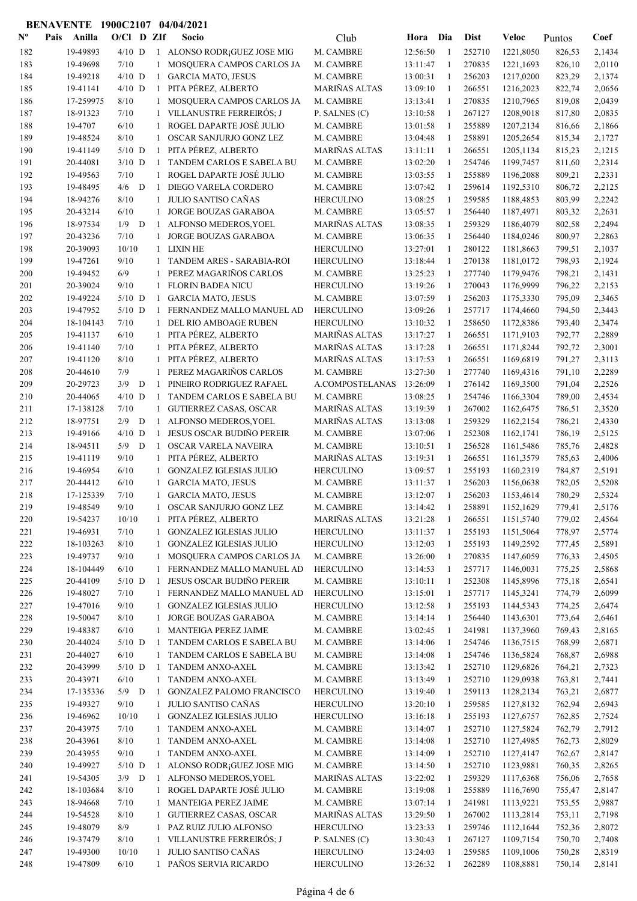| $\mathbf{N}^{\mathbf{o}}$ | Pais | Anilla    | $O/C1$ D ZIf |             |              | Socio                            | Club                 | Hora Dia |              | <b>Dist</b> | Veloc     | Puntos | Coef   |
|---------------------------|------|-----------|--------------|-------------|--------------|----------------------------------|----------------------|----------|--------------|-------------|-----------|--------|--------|
| 182                       |      | 19-49893  | $4/10$ D     |             |              | 1 ALONSO RODR; GUEZ JOSE MIG     | M. CAMBRE            | 12:56:50 | -1           | 252710      | 1221,8050 | 826,53 | 2,1434 |
| 183                       |      | 19-49698  | 7/10         |             | 1            | MOSQUERA CAMPOS CARLOS JA        | M. CAMBRE            | 13:11:47 | 1            | 270835      | 1221,1693 | 826,10 | 2,0110 |
| 184                       |      | 19-49218  | $4/10$ D     |             | $\mathbf{1}$ | <b>GARCIA MATO, JESUS</b>        | M. CAMBRE            | 13:00:31 | 1            | 256203      | 1217,0200 | 823,29 | 2,1374 |
| 185                       |      | 19-41141  | $4/10$ D     |             | $\mathbf{1}$ | PITA PÉREZ, ALBERTO              | <b>MARIÑAS ALTAS</b> | 13:09:10 | -1           | 266551      | 1216,2023 | 822,74 | 2,0656 |
| 186                       |      | 17-259975 | 8/10         |             | 1            | MOSQUERA CAMPOS CARLOS JA        | M. CAMBRE            | 13:13:41 | -1           | 270835      | 1210,7965 | 819,08 | 2,0439 |
| 187                       |      | 18-91323  | 7/10         |             |              | VILLANUSTRE FERREIRÓS; J         | P. SALNES (C)        | 13:10:58 | -1           | 267127      | 1208,9018 | 817,80 | 2,0835 |
| 188                       |      | 19-4707   | 6/10         |             | $\mathbf{1}$ | ROGEL DAPARTE JOSÉ JULIO         | M. CAMBRE            | 13:01:58 | -1           | 255889      | 1207,2134 | 816,66 | 2,1866 |
| 189                       |      | 19-48524  | $8/10$       |             | $\mathbf{1}$ | OSCAR SANJURJO GONZ LEZ          | M. CAMBRE            | 13:04:48 | $\mathbf{1}$ | 258891      | 1205,2654 | 815,34 | 2,1727 |
| 190                       |      | 19-41149  | $5/10$ D     |             | 1            | PITA PÉREZ, ALBERTO              | MARIÑAS ALTAS        | 13:11:11 | 1            | 266551      | 1205,1134 | 815,23 | 2,1215 |
| 191                       |      | 20-44081  | $3/10$ D     |             | -1           | TANDEM CARLOS E SABELA BU        | M. CAMBRE            | 13:02:20 | 1            | 254746      | 1199,7457 | 811,60 | 2,2314 |
| 192                       |      | 19-49563  | 7/10         |             | 1            | ROGEL DAPARTE JOSÉ JULIO         | M. CAMBRE            | 13:03:55 | -1           | 255889      | 1196,2088 | 809,21 | 2,2331 |
| 193                       |      | 19-48495  | 4/6          | D           | $\mathbf{1}$ | DIEGO VARELA CORDERO             | M. CAMBRE            | 13:07:42 | 1            | 259614      | 1192,5310 | 806,72 | 2,2125 |
| 194                       |      | 18-94276  | 8/10         |             | 1            | <b>JULIO SANTISO CAÑAS</b>       | <b>HERCULINO</b>     | 13:08:25 | -1           | 259585      | 1188,4853 | 803,99 | 2,2242 |
| 195                       |      | 20-43214  | 6/10         |             | 1            | JORGE BOUZAS GARABOA             | M. CAMBRE            | 13:05:57 | 1            | 256440      | 1187,4971 | 803,32 | 2,2631 |
| 196                       |      | 18-97534  | $1/9$ D      |             | 1            | ALFONSO MEDEROS, YOEL            | <b>MARIÑAS ALTAS</b> | 13:08:35 | 1            | 259329      | 1186,4079 | 802,58 | 2,2494 |
| 197                       |      | 20-43236  | 7/10         |             | 1            | JORGE BOUZAS GARABOA             | M. CAMBRE            | 13:06:35 | -1           | 256440      | 1184,0246 | 800,97 | 2,2863 |
| 198                       |      | 20-39093  | 10/10        |             | 1            | <b>LIXIN HE</b>                  | <b>HERCULINO</b>     | 13:27:01 | -1           | 280122      | 1181,8663 | 799,51 | 2,1037 |
| 199                       |      | 19-47261  | 9/10         |             |              | TANDEM ARES - SARABIA-ROI        | <b>HERCULINO</b>     | 13:18:44 | 1            | 270138      | 1181,0172 | 798,93 | 2,1924 |
| 200                       |      | 19-49452  | 6/9          |             | 1            | PEREZ MAGARIÑOS CARLOS           | M. CAMBRE            | 13:25:23 | -1           | 277740      | 1179,9476 | 798,21 | 2,1431 |
| 201                       |      | 20-39024  | 9/10         |             | $\mathbf{1}$ | <b>FLORIN BADEA NICU</b>         | <b>HERCULINO</b>     | 13:19:26 | $\mathbf{1}$ | 270043      | 1176,9999 | 796,22 | 2,2153 |
| 202                       |      | 19-49224  | $5/10$ D     |             | 1            | <b>GARCIA MATO, JESUS</b>        | M. CAMBRE            | 13:07:59 | 1            | 256203      | 1175,3330 | 795,09 | 2,3465 |
| 203                       |      | 19-47952  | $5/10$ D     |             | 1            | FERNANDEZ MALLO MANUEL AD        | <b>HERCULINO</b>     | 13:09:26 | -1           | 257717      | 1174,4660 | 794,50 | 2,3443 |
| 204                       |      | 18-104143 | 7/10         |             | $\mathbf{1}$ | DEL RIO AMBOAGE RUBEN            | <b>HERCULINO</b>     | 13:10:32 | 1            | 258650      | 1172,8386 | 793,40 | 2,3474 |
| 205                       |      | 19-41137  | 6/10         |             | 1            | PITA PÉREZ, ALBERTO              | <b>MARIÑAS ALTAS</b> | 13:17:27 | $\mathbf{1}$ | 266551      | 1171,9103 | 792,77 | 2,2889 |
| 206                       |      | 19-41140  | 7/10         |             | $\mathbf{1}$ | PITA PÉREZ, ALBERTO              | <b>MARIÑAS ALTAS</b> | 13:17:28 | -1           | 266551      | 1171,8244 | 792,72 | 2,3001 |
| 207                       |      | 19-41120  | 8/10         |             | $\mathbf{1}$ | PITA PÉREZ, ALBERTO              | <b>MARIÑAS ALTAS</b> | 13:17:53 | -1           | 266551      | 1169,6819 | 791,27 | 2,3113 |
| 208                       |      | 20-44610  | 7/9          |             | $\mathbf{1}$ | PEREZ MAGARIÑOS CARLOS           | M. CAMBRE            | 13:27:30 | 1            | 277740      | 1169,4316 | 791,10 | 2,2289 |
| 209                       |      | 20-29723  | 3/9          | D           | $\mathbf{1}$ | PINEIRO RODRIGUEZ RAFAEL         | A.COMPOSTELANAS      | 13:26:09 | 1            | 276142      | 1169,3500 | 791,04 | 2,2526 |
| 210                       |      | 20-44065  | $4/10$ D     |             | -1           | TANDEM CARLOS E SABELA BU        | M. CAMBRE            | 13:08:25 | 1            | 254746      | 1166,3304 | 789,00 | 2,4534 |
| 211                       |      | 17-138128 | 7/10         |             | 1            | <b>GUTIERREZ CASAS, OSCAR</b>    | MARIÑAS ALTAS        | 13:19:39 | -1           | 267002      | 1162,6475 | 786,51 | 2,3520 |
| 212                       |      | 18-97751  | 2/9          | $\mathbf D$ | 1            | ALFONSO MEDEROS, YOEL            | MARIÑAS ALTAS        | 13:13:08 | -1           | 259329      | 1162,2154 | 786,21 | 2,4330 |
| 213                       |      | 19-49166  | $4/10$ D     |             | -1           | <b>JESUS OSCAR BUDIÑO PEREIR</b> | M. CAMBRE            | 13:07:06 | -1           | 252308      | 1162,1741 | 786,19 | 2,5125 |
| 214                       |      | 18-94511  | $5/9$ D      |             | 1            | OSCAR VARELA NAVEIRA             | M. CAMBRE            | 13:10:51 | $\mathbf{1}$ | 256528      | 1161,5486 | 785,76 | 2,4828 |
| 215                       |      | 19-41119  | 9/10         |             | 1            | PITA PÉREZ, ALBERTO              | MARIÑAS ALTAS        | 13:19:31 | 1            | 266551      | 1161,3579 | 785,63 | 2,4006 |
| 216                       |      | 19-46954  | 6/10         |             | 1            | <b>GONZALEZ IGLESIAS JULIO</b>   | <b>HERCULINO</b>     | 13:09:57 | 1            | 255193      | 1160,2319 | 784,87 | 2,5191 |
| 217                       |      | 20-44412  | 6/10         |             | 1            | <b>GARCIA MATO, JESUS</b>        | M. CAMBRE            | 13:11:37 | 1            | 256203      | 1156,0638 | 782,05 | 2,5208 |
| 218                       |      | 17-125339 | 7/10         |             | $\mathbf{1}$ | <b>GARCIA MATO, JESUS</b>        | M. CAMBRE            | 13:12:07 | 1            | 256203      | 1153,4614 | 780,29 | 2,5324 |
| 219                       |      | 19-48549  | 9/10         |             | 1            | OSCAR SANJURJO GONZ LEZ          | M. CAMBRE            | 13:14:42 |              | 258891      | 1152,1629 | 779,41 | 2,5176 |
| 220                       |      | 19-54237  | 10/10        |             |              | 1 PITA PÉREZ, ALBERTO            | <b>MARIÑAS ALTAS</b> | 13:21:28 | 1            | 266551      | 1151,5740 | 779,02 | 2,4564 |
| 221                       |      | 19-46931  | 7/10         |             | 1            | <b>GONZALEZ IGLESIAS JULIO</b>   | <b>HERCULINO</b>     | 13:11:37 | 1            | 255193      | 1151,5064 | 778,97 | 2,5774 |
| 222                       |      | 18-103263 | 8/10         |             | 1            | <b>GONZALEZ IGLESIAS JULIO</b>   | <b>HERCULINO</b>     | 13:12:03 | -1           | 255193      | 1149,2592 | 777,45 | 2,5891 |
| 223                       |      | 19-49737  | 9/10         |             | 1            | MOSQUERA CAMPOS CARLOS JA        | M. CAMBRE            | 13:26:00 | 1            | 270835      | 1147,6059 | 776,33 | 2,4505 |
| 224                       |      | 18-104449 | 6/10         |             | $\mathbf{1}$ | FERNANDEZ MALLO MANUEL AD        | <b>HERCULINO</b>     | 13:14:53 | -1           | 257717      | 1146,0031 | 775,25 | 2,5868 |
| 225                       |      | 20-44109  | $5/10$ D     |             | -1           | JESUS OSCAR BUDIÑO PEREIR        | M. CAMBRE            | 13:10:11 | -1           | 252308      | 1145,8996 | 775,18 | 2,6541 |
| 226                       |      | 19-48027  | 7/10         |             | $\mathbf{1}$ | FERNANDEZ MALLO MANUEL AD        | <b>HERCULINO</b>     | 13:15:01 | -1           | 257717      | 1145,3241 | 774,79 | 2,6099 |
| 227                       |      | 19-47016  | 9/10         |             | $\mathbf{1}$ | <b>GONZALEZ IGLESIAS JULIO</b>   | <b>HERCULINO</b>     | 13:12:58 | $\mathbf{1}$ | 255193      | 1144,5343 | 774,25 | 2,6474 |
| 228                       |      | 19-50047  | 8/10         |             | 1            | JORGE BOUZAS GARABOA             | M. CAMBRE            | 13:14:14 | -1           | 256440      | 1143,6301 | 773,64 | 2,6461 |
| 229                       |      | 19-48387  | 6/10         |             | 1            | MANTEIGA PEREZ JAIME             | M. CAMBRE            | 13:02:45 | 1            | 241981      | 1137,3960 | 769,43 | 2,8165 |
| 230                       |      | 20-44024  | $5/10$ D     |             | -1           | TANDEM CARLOS E SABELA BU        | M. CAMBRE            | 13:14:06 | 1            | 254746      | 1136,7515 | 768,99 | 2,6871 |
| 231                       |      | 20-44027  | 6/10         |             | $\mathbf{1}$ | TANDEM CARLOS E SABELA BU        | M. CAMBRE            | 13:14:08 | -1           | 254746      | 1136,5824 | 768,87 | 2,6988 |
| 232                       |      | 20-43999  | $5/10$ D     |             | -1           | TANDEM ANXO-AXEL                 | M. CAMBRE            | 13:13:42 | -1           | 252710      | 1129,6826 | 764,21 | 2,7323 |
| 233                       |      | 20-43971  | 6/10         |             | $\mathbf{1}$ | TANDEM ANXO-AXEL                 | M. CAMBRE            | 13:13:49 | 1            | 252710      | 1129,0938 | 763,81 | 2,7441 |
| 234                       |      | 17-135336 | $5/9$ D      |             | -1           | <b>GONZALEZ PALOMO FRANCISCO</b> | <b>HERCULINO</b>     | 13:19:40 | -1           | 259113      | 1128,2134 | 763,21 | 2,6877 |
| 235                       |      | 19-49327  | 9/10         |             | 1            | JULIO SANTISO CAÑAS              | <b>HERCULINO</b>     | 13:20:10 | 1            | 259585      | 1127,8132 | 762,94 | 2,6943 |
| 236                       |      | 19-46962  | 10/10        |             | 1            | <b>GONZALEZ IGLESIAS JULIO</b>   | <b>HERCULINO</b>     | 13:16:18 | -1           | 255193      | 1127,6757 | 762,85 | 2,7524 |
| 237                       |      | 20-43975  | 7/10         |             | $\mathbf{1}$ | TANDEM ANXO-AXEL                 | M. CAMBRE            | 13:14:07 | -1           | 252710      | 1127,5824 | 762,79 | 2,7912 |
| 238                       |      | 20-43961  | 8/10         |             | 1            | TANDEM ANXO-AXEL                 | M. CAMBRE            | 13:14:08 | -1           | 252710      | 1127,4985 | 762,73 | 2,8029 |
| 239                       |      | 20-43955  | 9/10         |             | $\mathbf{1}$ | TANDEM ANXO-AXEL                 | M. CAMBRE            | 13:14:09 | -1           | 252710      | 1127,4147 | 762,67 | 2,8147 |
| 240                       |      | 19-49927  | $5/10$ D     |             | 1            | ALONSO RODR; GUEZ JOSE MIG       | M. CAMBRE            | 13:14:50 | 1            | 252710      | 1123,9881 | 760,35 | 2,8265 |
| 241                       |      | 19-54305  | $3/9$ D      |             | 1            | ALFONSO MEDEROS, YOEL            | MARIÑAS ALTAS        | 13:22:02 | 1            | 259329      | 1117,6368 | 756,06 | 2,7658 |
| 242                       |      | 18-103684 | 8/10         |             | 1            | ROGEL DAPARTE JOSÉ JULIO         | M. CAMBRE            | 13:19:08 | 1            | 255889      | 1116,7690 | 755,47 | 2,8147 |
| 243                       |      | 18-94668  | 7/10         |             | 1            | MANTEIGA PEREZ JAIME             | M. CAMBRE            | 13:07:14 | -1           | 241981      | 1113,9221 | 753,55 | 2,9887 |
| 244                       |      | 19-54528  | 8/10         |             |              | 1 GUTIERREZ CASAS, OSCAR         | <b>MARIÑAS ALTAS</b> | 13:29:50 | -1           | 267002      | 1113,2814 | 753,11 | 2,7198 |
| 245                       |      | 19-48079  | 8/9          |             | $\mathbf{1}$ | PAZ RUIZ JULIO ALFONSO           | <b>HERCULINO</b>     | 13:23:33 | 1            | 259746      | 1112,1644 | 752,36 | 2,8072 |
| 246                       |      | 19-37479  | 8/10         |             |              | VILLANUSTRE FERREIRÓS; J         | P. SALNES (C)        | 13:30:43 | -1           | 267127      | 1109,7154 | 750,70 | 2,7408 |
| 247                       |      | 19-49300  | 10/10        |             | $\mathbf{1}$ | JULIO SANTISO CAÑAS              | <b>HERCULINO</b>     | 13:24:03 | 1            | 259585      | 1109,1006 | 750,28 | 2,8319 |
| 248                       |      | 19-47809  | 6/10         |             | $\mathbf{1}$ | PAÑOS SERVIA RICARDO             | <b>HERCULINO</b>     | 13:26:32 | -1           | 262289      | 1108,8881 | 750,14 | 2,8141 |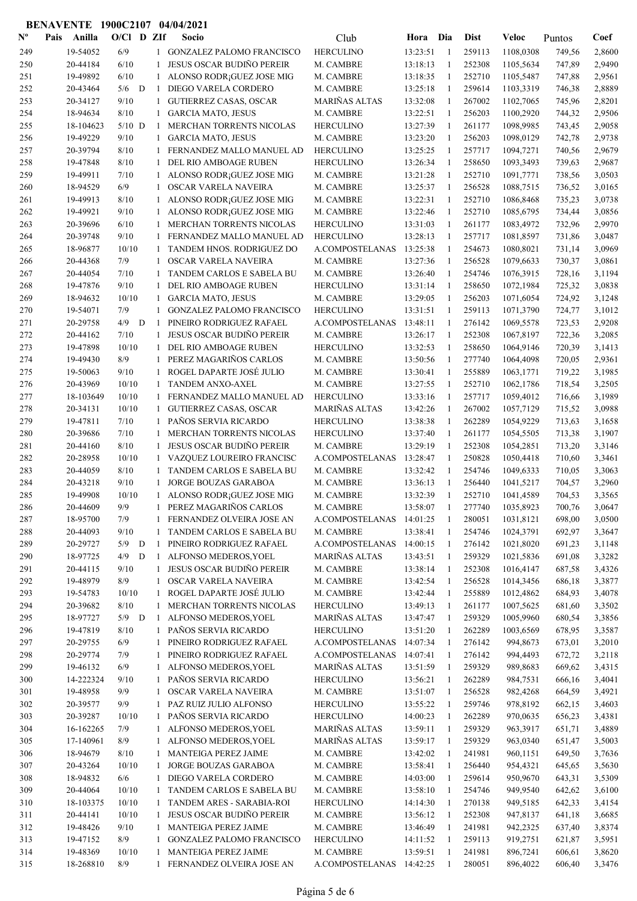| $N^{\text{o}}$ | Pais | Anilla    | $O/Cl$ D ZIf |   |                   | Socio                            | Club                     | Hora     | Dia          | <b>Dist</b> | Veloc     | Puntos | Coef   |
|----------------|------|-----------|--------------|---|-------------------|----------------------------------|--------------------------|----------|--------------|-------------|-----------|--------|--------|
| 249            |      | 19-54052  | 6/9          |   |                   | 1 GONZALEZ PALOMO FRANCISCO      | <b>HERCULINO</b>         | 13:23:51 | -1           | 259113      | 1108,0308 | 749,56 | 2,8600 |
| 250            |      | 20-44184  | 6/10         |   | 1                 | <b>JESUS OSCAR BUDIÑO PEREIR</b> | M. CAMBRE                | 13:18:13 | 1            | 252308      | 1105,5634 | 747,89 | 2,9490 |
| 251            |      | 19-49892  | 6/10         |   | 1                 | ALONSO RODR; GUEZ JOSE MIG       | M. CAMBRE                | 13:18:35 | -1           | 252710      | 1105,5487 | 747,88 | 2,9561 |
| 252            |      | 20-43464  | 5/6          | D | -1                | DIEGO VARELA CORDERO             | M. CAMBRE                | 13:25:18 | -1           | 259614      | 1103,3319 | 746,38 | 2,8889 |
| 253            |      | 20-34127  | 9/10         |   | 1                 | <b>GUTIERREZ CASAS, OSCAR</b>    | MARIÑAS ALTAS            | 13:32:08 | 1            | 267002      | 1102,7065 | 745,96 | 2,8201 |
| 254            |      | 18-94634  | 8/10         |   | 1                 | <b>GARCIA MATO, JESUS</b>        | M. CAMBRE                | 13:22:51 | $\mathbf{1}$ | 256203      | 1100,2920 | 744,32 | 2,9506 |
| 255            |      | 18-104623 | $5/10$ D     |   | -1                | MERCHAN TORRENTS NICOLAS         | <b>HERCULINO</b>         | 13:27:39 | -1           | 261177      | 1098,9985 | 743,45 | 2,9058 |
| 256            |      | 19-49229  | 9/10         |   | 1                 | <b>GARCIA MATO, JESUS</b>        | M. CAMBRE                | 13:23:20 | -1           | 256203      | 1098,0129 | 742,78 | 2,9738 |
| 257            |      | 20-39794  | 8/10         |   | 1                 | FERNANDEZ MALLO MANUEL AD        | <b>HERCULINO</b>         | 13:25:25 | 1            | 257717      | 1094,7271 | 740,56 | 2,9679 |
| 258            |      | 19-47848  | 8/10         |   | 1                 | <b>DEL RIO AMBOAGE RUBEN</b>     | <b>HERCULINO</b>         | 13:26:34 | 1            | 258650      | 1093,3493 | 739,63 | 2,9687 |
| 259            |      | 19-49911  | 7/10         |   | 1                 | ALONSO RODR; GUEZ JOSE MIG       | M. CAMBRE                | 13:21:28 | 1            | 252710      | 1091,7771 | 738,56 | 3,0503 |
| 260            |      | 18-94529  | 6/9          |   | 1                 | OSCAR VARELA NAVEIRA             | M. CAMBRE                | 13:25:37 | 1            | 256528      | 1088,7515 | 736,52 | 3,0165 |
|                |      | 19-49913  | 8/10         |   | 1                 |                                  |                          |          | 1            | 252710      |           |        | 3,0738 |
| 261            |      |           |              |   |                   | ALONSO RODR; GUEZ JOSE MIG       | M. CAMBRE                | 13:22:31 | $\mathbf{1}$ |             | 1086,8468 | 735,23 |        |
| 262            |      | 19-49921  | 9/10         |   | 1                 | ALONSO RODR; GUEZ JOSE MIG       | M. CAMBRE                | 13:22:46 |              | 252710      | 1085,6795 | 734,44 | 3,0856 |
| 263            |      | 20-39696  | 6/10         |   | 1                 | MERCHAN TORRENTS NICOLAS         | <b>HERCULINO</b>         | 13:31:03 | -1           | 261177      | 1083,4972 | 732,96 | 2,9970 |
| 264            |      | 20-39748  | 9/10         |   | 1                 | FERNANDEZ MALLO MANUEL AD        | <b>HERCULINO</b>         | 13:28:13 | 1            | 257717      | 1081,8597 | 731,86 | 3,0487 |
| 265            |      | 18-96877  | 10/10        |   | 1                 | TANDEM HNOS. RODRIGUEZ DO        | A.COMPOSTELANAS          | 13:25:38 | -1           | 254673      | 1080,8021 | 731,14 | 3,0969 |
| 266            |      | 20-44368  | 7/9          |   | 1                 | OSCAR VARELA NAVEIRA             | M. CAMBRE                | 13:27:36 | $\mathbf{1}$ | 256528      | 1079,6633 | 730,37 | 3,0861 |
| 267            |      | 20-44054  | 7/10         |   | 1                 | TANDEM CARLOS E SABELA BU        | M. CAMBRE                | 13:26:40 | 1            | 254746      | 1076,3915 | 728,16 | 3,1194 |
| 268            |      | 19-47876  | 9/10         |   | 1                 | DEL RIO AMBOAGE RUBEN            | <b>HERCULINO</b>         | 13:31:14 | -1           | 258650      | 1072,1984 | 725,32 | 3,0838 |
| 269            |      | 18-94632  | 10/10        |   | $\mathbf{1}$      | <b>GARCIA MATO, JESUS</b>        | M. CAMBRE                | 13:29:05 | 1            | 256203      | 1071,6054 | 724,92 | 3,1248 |
| 270            |      | 19-54071  | 7/9          |   | 1                 | <b>GONZALEZ PALOMO FRANCISCO</b> | <b>HERCULINO</b>         | 13:31:51 | 1            | 259113      | 1071,3790 | 724,77 | 3,1012 |
| 271            |      | 20-29758  | 4/9          | D | -1                | PINEIRO RODRIGUEZ RAFAEL         | A.COMPOSTELANAS          | 13:48:11 | 1            | 276142      | 1069,5578 | 723,53 | 2,9208 |
| 272            |      | 20-44162  | 7/10         |   |                   | <b>JESUS OSCAR BUDIÑO PEREIR</b> | M. CAMBRE                | 13:26:17 | 1            | 252308      | 1067,8197 | 722,36 | 3,2085 |
| 273            |      | 19-47898  | 10/10        |   | 1                 | DEL RIO AMBOAGE RUBEN            | <b>HERCULINO</b>         | 13:32:53 | 1            | 258650      | 1064,9146 | 720,39 | 3,1413 |
| 274            |      | 19-49430  | 8/9          |   | 1                 | PEREZ MAGARIÑOS CARLOS           | M. CAMBRE                | 13:50:56 | $\mathbf{1}$ | 277740      | 1064,4098 | 720,05 | 2,9361 |
| 275            |      | 19-50063  | 9/10         |   | 1                 | ROGEL DAPARTE JOSÉ JULIO         | M. CAMBRE                | 13:30:41 | -1           | 255889      | 1063,1771 | 719,22 | 3,1985 |
| 276            |      | 20-43969  | 10/10        |   | 1                 | TANDEM ANXO-AXEL                 | M. CAMBRE                | 13:27:55 | -1           | 252710      | 1062,1786 | 718,54 | 3,2505 |
| 277            |      | 18-103649 | 10/10        |   | 1                 | FERNANDEZ MALLO MANUEL AD        | <b>HERCULINO</b>         | 13:33:16 | $\mathbf{1}$ | 257717      | 1059,4012 | 716,66 | 3,1989 |
| 278            |      | 20-34131  | 10/10        |   | 1                 | <b>GUTIERREZ CASAS, OSCAR</b>    | MARIÑAS ALTAS            | 13:42:26 | $\mathbf{1}$ | 267002      | 1057,7129 | 715,52 | 3,0988 |
| 279            |      | 19-47811  | 7/10         |   | 1                 | PAÑOS SERVIA RICARDO             | <b>HERCULINO</b>         | 13:38:38 | -1           | 262289      | 1054,9229 | 713,63 | 3,1658 |
| 280            |      | 20-39686  | 7/10         |   | 1                 | MERCHAN TORRENTS NICOLAS         | <b>HERCULINO</b>         | 13:37:40 | 1            | 261177      | 1054,5505 | 713,38 | 3,1907 |
| 281            |      | 20-44160  | 8/10         |   | 1                 | <b>JESUS OSCAR BUDIÑO PEREIR</b> | M. CAMBRE                | 13:29:19 | 1            | 252308      | 1054,2851 | 713,20 | 3,3146 |
| 282            |      | 20-28958  | 10/10        |   | $\mathbf{1}$      | VAZQUEZ LOUREIRO FRANCISC        | A.COMPOSTELANAS          | 13:28:47 | 1            | 250828      | 1050,4418 | 710,60 | 3,3461 |
| 283            |      | 20-44059  | 8/10         |   | 1                 | TANDEM CARLOS E SABELA BU        | M. CAMBRE                | 13:32:42 | 1            | 254746      | 1049,6333 | 710,05 | 3,3063 |
| 284            |      | 20-43218  | 9/10         |   | $\mathbf{1}$      | <b>JORGE BOUZAS GARABOA</b>      | M. CAMBRE                | 13:36:13 | 1            | 256440      | 1041,5217 | 704,57 | 3,2960 |
| 285            |      | 19-49908  | 10/10        |   | $\mathbf{1}$      | ALONSO RODR; GUEZ JOSE MIG       | M. CAMBRE                | 13:32:39 | $\mathbf{1}$ | 252710      | 1041,4589 | 704,53 | 3,3565 |
| 286            |      | 20-44609  | 9/9          |   | $\mathbf{1}$      | PEREZ MAGARIÑOS CARLOS           | M. CAMBRE                | 13:58:07 |              | 277740      | 1035,8923 | 700,76 | 3,0647 |
| 287            |      | 18-95700  | 7/9          |   |                   | 1 FERNANDEZ OLVEIRA JOSE AN      | A.COMPOSTELANAS 14:01:25 |          |              | 280051      | 1031,8121 | 698,00 | 3,0500 |
| 288            |      | 20-44093  | 9/10         |   | 1                 | TANDEM CARLOS E SABELA BU        | M. CAMBRE                | 13:38:41 | 1            | 254746      | 1024,3791 | 692,97 | 3,3647 |
| 289            |      | 20-29727  | $5/9$ D      |   | 1                 | PINEIRO RODRIGUEZ RAFAEL         | A.COMPOSTELANAS 14:00:15 |          | -1           | 276142      | 1021,8020 | 691,23 | 3,1148 |
| 290            |      | 18-97725  | 4/9          | D | $\mathbf{1}$      | ALFONSO MEDEROS, YOEL            | MARIÑAS ALTAS            | 13:43:51 | $\mathbf{1}$ | 259329      | 1021,5836 | 691,08 | 3,3282 |
| 291            |      | 20-44115  | 9/10         |   | $\mathbf{1}$      | <b>JESUS OSCAR BUDIÑO PEREIR</b> | M. CAMBRE                | 13:38:14 | $\mathbf{1}$ | 252308      | 1016,4147 | 687,58 | 3,4326 |
| 292            |      | 19-48979  | 8/9          |   | 1                 | OSCAR VARELA NAVEIRA             | M. CAMBRE                | 13:42:54 | -1           | 256528      | 1014,3456 | 686,18 | 3,3877 |
| 293            |      | 19-54783  | 10/10        |   | 1                 | ROGEL DAPARTE JOSÉ JULIO         | M. CAMBRE                | 13:42:44 | 1            | 255889      | 1012,4862 | 684,93 | 3,4078 |
| 294            |      | 20-39682  | 8/10         |   | 1                 | MERCHAN TORRENTS NICOLAS         | <b>HERCULINO</b>         | 13:49:13 | $\mathbf{1}$ | 261177      | 1007,5625 | 681,60 | 3,3502 |
| 295            |      | 18-97727  | $5/9$ D      |   |                   | 1 ALFONSO MEDEROS, YOEL          | MARIÑAS ALTAS            | 13:47:47 | -1           | 259329      | 1005,9960 | 680,54 | 3,3856 |
| 296            |      | 19-47819  | 8/10         |   | $\mathbf{1}$      | PAÑOS SERVIA RICARDO             | <b>HERCULINO</b>         | 13:51:20 | $\mathbf{1}$ | 262289      | 1003,6569 | 678,95 | 3,3587 |
| 297            |      | 20-29755  | 6/9          |   | 1                 | PINEIRO RODRIGUEZ RAFAEL         | A.COMPOSTELANAS          | 14:07:34 | 1            | 276142      | 994,8673  | 673,01 | 3,2010 |
| 298            |      | 20-29774  | 7/9          |   | 1                 | PINEIRO RODRIGUEZ RAFAEL         | A.COMPOSTELANAS          | 14:07:41 | $\mathbf{1}$ | 276142      | 994,4493  | 672,72 | 3,2118 |
| 299            |      | 19-46132  | 6/9          |   | 1                 | ALFONSO MEDEROS, YOEL            | MARIÑAS ALTAS            | 13:51:59 | 1            | 259329      | 989,8683  | 669,62 | 3,4315 |
| 300            |      | 14-222324 | 9/10         |   | $\mathbf{1}$      | PAÑOS SERVIA RICARDO             | <b>HERCULINO</b>         | 13:56:21 | -1           | 262289      | 984,7531  | 666,16 | 3,4041 |
| 301            |      | 19-48958  | 9/9          |   | $\mathbf{1}$      | OSCAR VARELA NAVEIRA             | M. CAMBRE                | 13:51:07 | -1           | 256528      | 982,4268  | 664,59 | 3,4921 |
| 302            |      | 20-39577  | 9/9          |   | $\mathbf{1}$      | PAZ RUIZ JULIO ALFONSO           | <b>HERCULINO</b>         | 13:55:22 | $\mathbf{1}$ | 259746      | 978,8192  | 662,15 | 3,4603 |
| 303            |      | 20-39287  | 10/10        |   | $\mathbf{1}$      | PAÑOS SERVIA RICARDO             | <b>HERCULINO</b>         | 14:00:23 | $\mathbf{1}$ | 262289      | 970,0635  | 656,23 | 3,4381 |
| 304            |      | 16-162265 | 7/9          |   | $\mathbf{1}$      | ALFONSO MEDEROS, YOEL            | MARIÑAS ALTAS            | 13:59:11 | 1            | 259329      | 963,3917  | 651,71 | 3,4889 |
| 305            |      | 17-140961 | 8/9          |   | 1                 | ALFONSO MEDEROS, YOEL            | MARIÑAS ALTAS            | 13:59:17 | 1            | 259329      | 963,0340  | 651,47 | 3,5003 |
| 306            |      | 18-94679  | 8/10         |   | 1                 | MANTEIGA PEREZ JAIME             | M. CAMBRE                | 13:42:02 | -1           | 241981      | 960,1151  | 649,50 | 3,7636 |
| 307            |      | 20-43264  | 10/10        |   | $\mathbf{1}$      | JORGE BOUZAS GARABOA             | M. CAMBRE                | 13:58:41 | 1            | 256440      | 954,4321  | 645,65 | 3,5630 |
| 308            |      | 18-94832  | 6/6          |   | 1                 | DIEGO VARELA CORDERO             | M. CAMBRE                | 14:03:00 | 1            | 259614      | 950,9670  | 643,31 | 3,5309 |
| 309            |      | 20-44064  | 10/10        |   | $\mathbf{1}$      | TANDEM CARLOS E SABELA BU        | M. CAMBRE                | 13:58:10 | 1            | 254746      | 949,9540  | 642,62 | 3,6100 |
| 310            |      | 18-103375 | 10/10        |   | $\mathbf{1}$      | TANDEM ARES - SARABIA-ROI        | <b>HERCULINO</b>         | 14:14:30 | $\mathbf{1}$ | 270138      | 949,5185  | 642,33 | 3,4154 |
| 311            |      | 20-44141  | 10/10        |   | 1                 | <b>JESUS OSCAR BUDIÑO PEREIR</b> | M. CAMBRE                | 13:56:12 | -1           | 252308      | 947,8137  | 641,18 | 3,6685 |
| 312            |      | 19-48426  | 9/10         |   |                   | MANTEIGA PEREZ JAIME             |                          |          | -1           | 241981      | 942,2325  |        |        |
|                |      | 19-47152  | 8/9          |   | $\mathbf{1}$<br>1 | GONZALEZ PALOMO FRANCISCO        | M. CAMBRE                | 13:46:49 | -1           |             |           | 637,40 | 3,8374 |
| 313            |      |           |              |   |                   |                                  | <b>HERCULINO</b>         | 14:11:52 |              | 259113      | 919,2751  | 621,87 | 3,5951 |
| 314            |      | 19-48369  | 10/10        |   | 1                 | MANTEIGA PEREZ JAIME             | M. CAMBRE                | 13:59:51 | $\mathbf{1}$ | 241981      | 896,7241  | 606,61 | 3,8620 |
| 315            |      | 18-268810 | 8/9          |   |                   | 1 FERNANDEZ OLVEIRA JOSE AN      | A.COMPOSTELANAS 14:42:25 |          | 1            | 280051      | 896,4022  | 606,40 | 3,3476 |